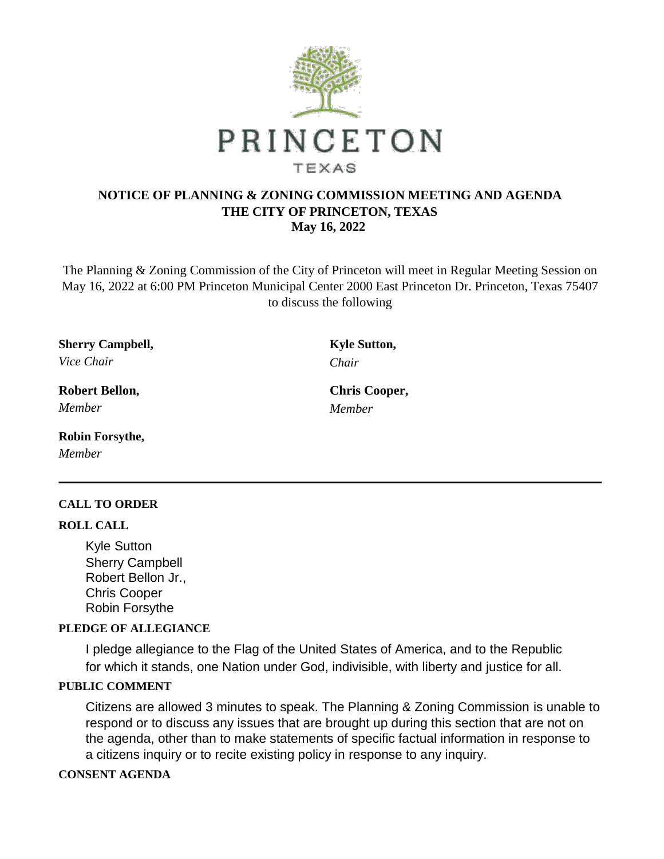

## **NOTICE OF PLANNING & ZONING COMMISSION MEETING AND AGENDA THE CITY OF PRINCETON, TEXAS May 16, 2022**

The Planning & Zoning Commission of the City of Princeton will meet in Regular Meeting Session on May 16, 2022 at 6:00 PM Princeton Municipal Center 2000 East Princeton Dr. Princeton, Texas 75407 to discuss the following

**Sherry Campbell, Kyle Sutton,** *Vice Chair Chair*

*Member Member*

**Robin Forsythe,** *Member*

### **CALL TO ORDER**

#### **ROLL CALL**

Kyle Sutton Sherry Campbell Robert Bellon Jr., Chris Cooper Robin Forsythe

### **PLEDGE OF ALLEGIANCE**

I pledge allegiance to the Flag of the United States of America, and to the Republic for which it stands, one Nation under God, indivisible, with liberty and justice for all.

### **PUBLIC COMMENT**

Citizens are allowed 3 minutes to speak. The Planning & Zoning Commission is unable to respond or to discuss any issues that are brought up during this section that are not on the agenda, other than to make statements of specific factual information in response to a citizens inquiry or to recite existing policy in response to any inquiry.

#### **CONSENT AGENDA**

**Robert Bellon, Chris Cooper,**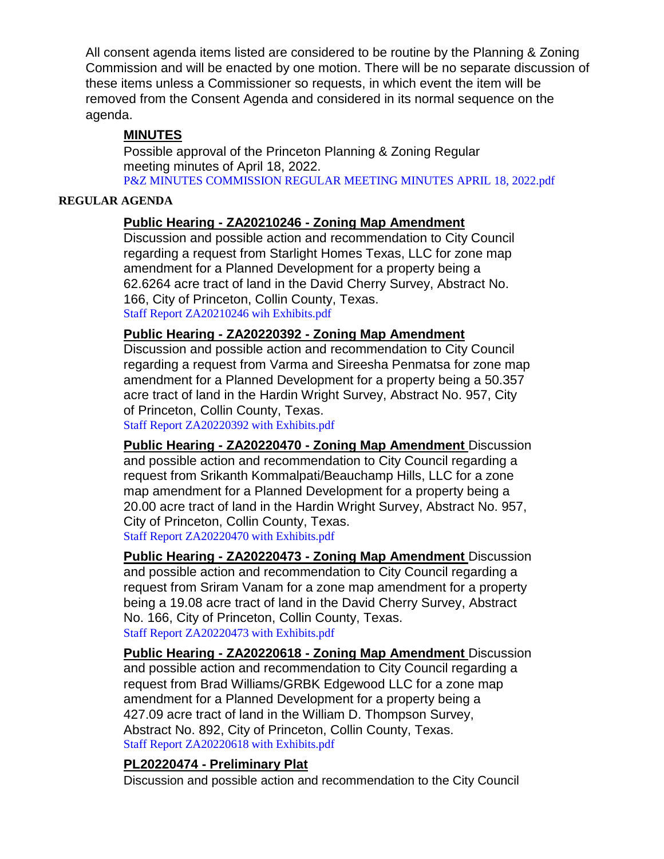All consent agenda items listed are considered to be routine by the Planning & Zoning Commission and will be enacted by one motion. There will be no separate discussion of these items unless a Commissioner so requests, in which event the item will be removed from the Consent Agenda and considered in its normal sequence on the agenda.

## **MINUTES**

Possible approval of the Princeton Planning & Zoning Regular meeting minutes of April 18, 2022. [P&Z MINUTES COMMISSION REGULAR MEETING MINUTES APRIL 18, 2022.pdf](https://legistarweb-production.s3.amazonaws.com/uploads/attachment/pdf/1376685/P_Z_MINUTES_COMMISSION_REGULAR_MEETING_MINUTES_APRIL_18__2022.pdf)

### **REGULAR AGENDA**

# **Public Hearing - ZA20210246 - Zoning Map Amendment**

Discussion and possible action and recommendation to City Council regarding a request from Starlight Homes Texas, LLC for zone map amendment for a Planned Development for a property being a 62.6264 acre tract of land in the David Cherry Survey, Abstract No. 166, City of Princeton, Collin County, Texas. [Staff Report ZA20210246 wih Exhibits.pdf](https://legistarweb-production.s3.amazonaws.com/uploads/attachment/pdf/1376708/Staff_Report_ZA20210246_wih_Exhibits.pdf)

## **Public Hearing - ZA20220392 - Zoning Map Amendment**

Discussion and possible action and recommendation to City Council regarding a request from Varma and Sireesha Penmatsa for zone map amendment for a Planned Development for a property being a 50.357 acre tract of land in the Hardin Wright Survey, Abstract No. 957, City of Princeton, Collin County, Texas.

[Staff Report ZA20220392 with Exhibits.pdf](https://legistarweb-production.s3.amazonaws.com/uploads/attachment/pdf/1376796/Staff_Report_ZA20220392_with_Exhibits.pdf)

**Public Hearing - ZA20220470 - Zoning Map Amendment** Discussion and possible action and recommendation to City Council regarding a request from Srikanth Kommalpati/Beauchamp Hills, LLC for a zone map amendment for a Planned Development for a property being a 20.00 acre tract of land in the Hardin Wright Survey, Abstract No. 957, City of Princeton, Collin County, Texas. [Staff Report ZA20220470 with Exhibits.pdf](https://legistarweb-production.s3.amazonaws.com/uploads/attachment/pdf/1377053/Staff_Report_ZA20220470_with_Exhibits.pdf)

**Public Hearing - ZA20220473 - Zoning Map Amendment** Discussion and possible action and recommendation to City Council regarding a request from Sriram Vanam for a zone map amendment for a property being a 19.08 acre tract of land in the David Cherry Survey, Abstract No. 166, City of Princeton, Collin County, Texas. [Staff Report ZA20220473 with Exhibits.pdf](https://legistarweb-production.s3.amazonaws.com/uploads/attachment/pdf/1377156/Staff_Report_ZA20220473_with_Exhibits.pdf)

**Public Hearing - ZA20220618 - Zoning Map Amendment** Discussion and possible action and recommendation to City Council regarding a request from Brad Williams/GRBK Edgewood LLC for a zone map amendment for a Planned Development for a property being a 427.09 acre tract of land in the William D. Thompson Survey, Abstract No. 892, City of Princeton, Collin County, Texas. [Staff Report ZA20220618 with Exhibits.pdf](https://legistarweb-production.s3.amazonaws.com/uploads/attachment/pdf/1377353/Staff_Report_ZA20220618_with_Exhibits.pdf)

## **PL20220474 - Preliminary Plat**

Discussion and possible action and recommendation to the City Council